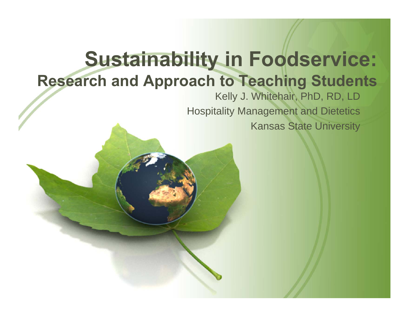#### **Sustainability in Foodservice: Research and Approach to Teaching Students**

#### Kelly J. Whitehair, PhD, RD, LD Hospitality Management and Dietetics Kansas State University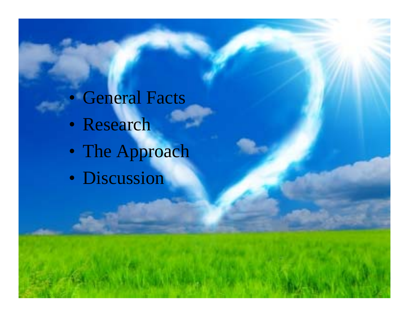#### • General Facts

- Research
- The Approach
- Discussion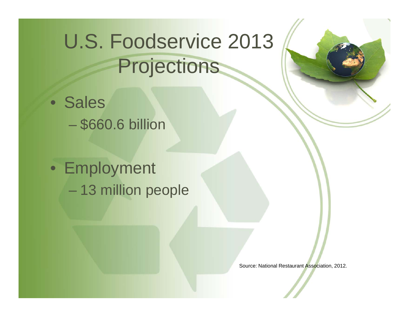# U.S. Foodservice 2013 Projections

• Sales

\$660.6 billion

• Employment 13 million people

Source: National Restaurant Association, 2012.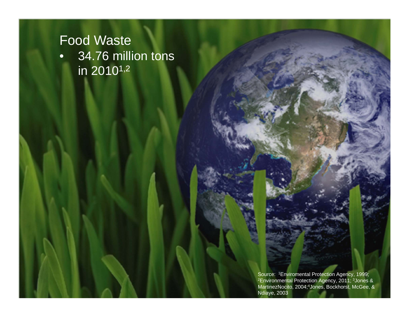• 34.76 million tons  $\overline{\mathsf{in} 2010^{1,2}}$ 

> Source: 1Enviromental Protection Agency, 1999; <sup>2</sup>Environmental Protection Agency, 2011; <sup>3</sup>Jones & MartinezNocito, 2004;4Jones, Bockhorst, McGee, & Ndiaye, 2003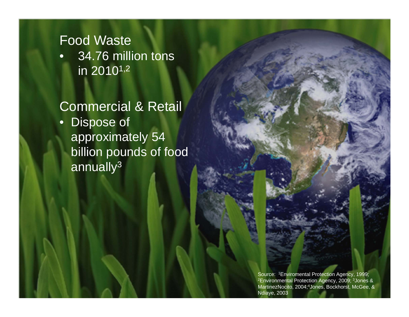$\bullet$  34.76 million tons in 20101,2

#### Commercial & Retail

• Dispose of approximately 54 billion pounds of food annually<sup>3</sup>

> Source: 1Enviromental Protection Agency, 1999; 2Environmental Protection Agency, 2009; 3Jones & MartinezNocito, 2004;4Jones, Bockhorst, McGee, & Ndiaye, 2003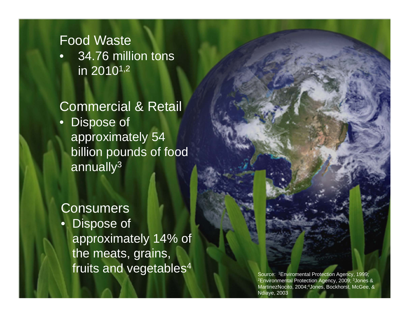$\bullet$  34.76 million tons in 20101,2

#### Commercial & Retail

• Dispose of approximately 54 billion pounds of food annually3

#### Consumers

 $\bullet$  Dispose of approximately 14% of the meats, grains, fruits and vegetables<sup>4</sup> Source: 1Enviromental Protection Agency, 1999;

2Environmental Protection Agency, 2009; 3Jones & MartinezNocito, 2004;4Jones, Bockhorst, McGee, & Ndiaye, 2003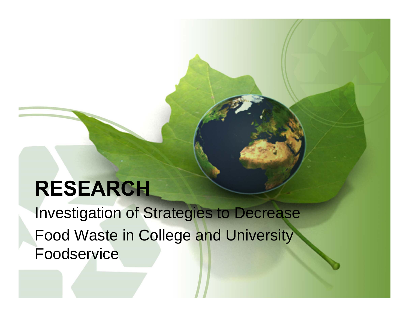## **RESEARCH**

Investigation of Strategies to Decrease Food Waste in College and University Foodservice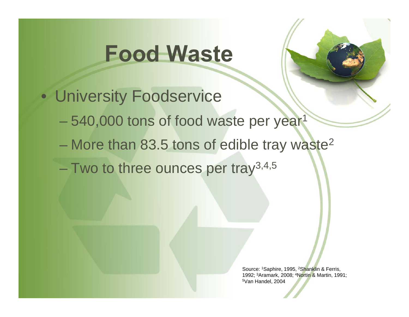

- University Foodservice
	- 540,000 tons of food waste per year<sup>1</sup>
	- More than 83.5 tons of edible tray waste<sup>2</sup>
	- Two to three ounces per tray<sup>3,4,5</sup>

Source: 1Saphire, 1995, 2Shanklin & Ferris, 1992; 3Aramark, 2008; 4Nortin & Martin, 1991; 5Van Handel, 2004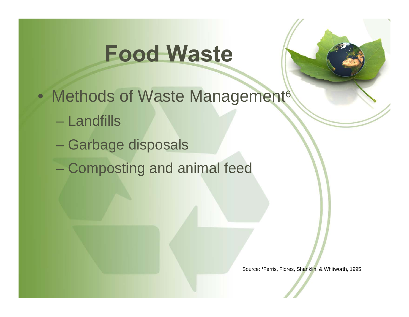• Methods of Waste Management<sup>6</sup>

- Landfills
- Garbage disposals
- Composting and animal feed

Source: 1Ferris, Flores, Shanklin, & Whitworth, 1995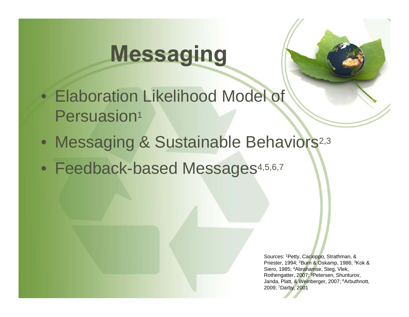# **Messaging**

- Elaboration Likelihood Model of Persuasion<sup>1</sup>
- Messaging & Sustainable Behaviors<sup>2,3</sup>
- Feedback-based Messages4,5,6,7

Sources: 1Petty, Cacioppo, Strathman, & Priester, 1994; 2Burn & Oskamp, 1986; 3Kok & Siero, 1985; 4Abrahamse, Steg, Vlek, Rothengatter, 2007; 5Petersen, Shunturov, Janda, Platt, & Weinberger, 2007; 6Arbuthnott, 2009; 7Darby, 2001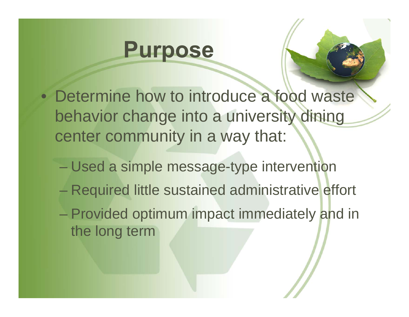### **Purpose**

- Determine how to introduce a food waste behavior change into a university dining center community in a way that:
	- Used a simple message-type intervention
	- Required little sustained administrative effort
	- Provided optimum impact immediately and in the long term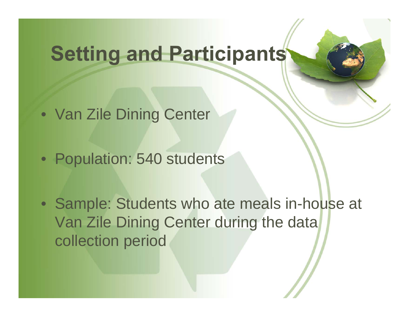## **Setting and Participants**

- Van Zile Dining Center
- Population: 540 students
- Sample: Students who ate meals in-house at Van Zile Dining Center during the data collection period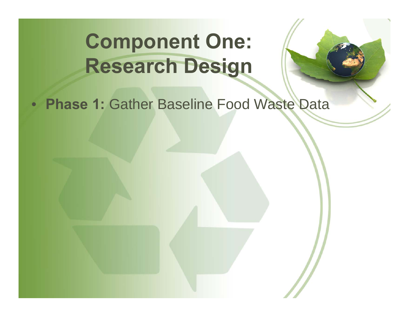## **Component One: Research Design**

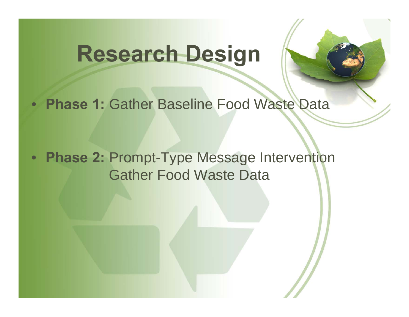## **Research Design**



• **Phase 2:** Prompt-Type Message Intervention Gather Food Waste Data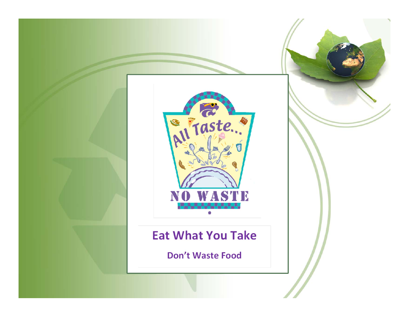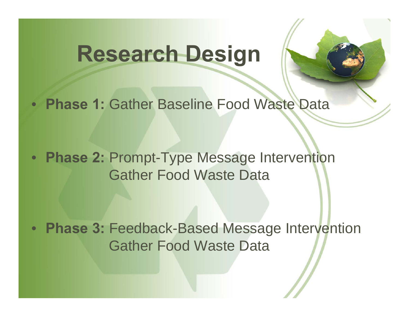## **Research Design**



• **Phase 2:** Prompt-Type Message Intervention Gather Food Waste Data

• **Phase 3:** Feedback-Based Message Intervention Gather Food Waste Data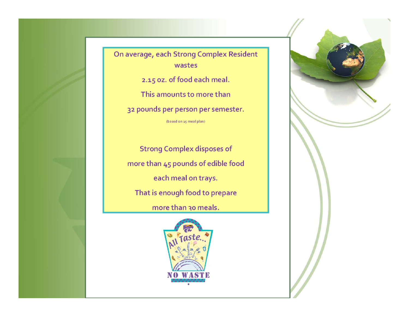On average, each Strong Complex Resident wastes

2.15 oz. of food each meal.

This amounts to more than

32 pounds per person per semester.

(based on 15 meal plan)

**Strong Complex disposes of** more than 45 pounds of edible food each meal on trays. That is enough food to prepare

more than 30 meals.



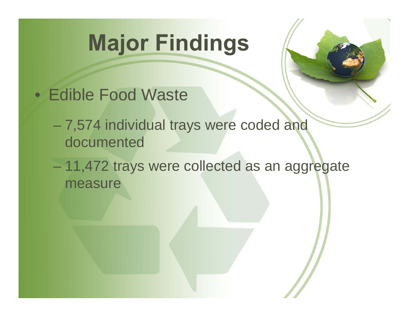# **Major Findings**



- Edible Food Waste
	- 7,574 individual trays were coded and documented
	- 11,472 trays were collected as an aggregate measure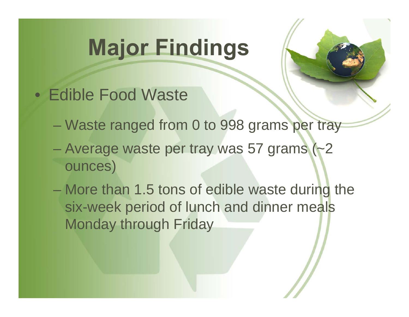# **Major Findings**



- Edible Food Waste
	- Waste ranged from 0 to 998 grams per tray
	- Average waste per tray was 57 grams (~2 ounces)
	- More than 1.5 tons of edible waste during the six-week period of lunch and dinner meals Monday through Friday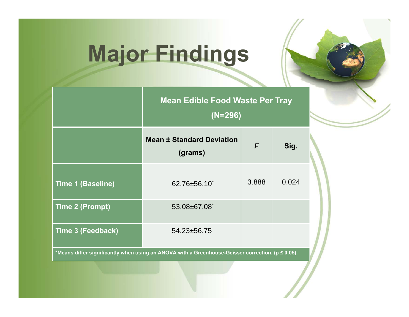# **Major Findings**

|                                                                                                   | <b>Mean Edible Food Waste Per Tray</b><br>$(N=296)$ |       |       |  |
|---------------------------------------------------------------------------------------------------|-----------------------------------------------------|-------|-------|--|
|                                                                                                   | <b>Mean ± Standard Deviation</b><br>(grams)         | F     | Sig.  |  |
| <b>Time 1 (Baseline)</b>                                                                          | $62.76 \pm 56.10^*$                                 | 3.888 | 0.024 |  |
| <b>Time 2 (Prompt)</b>                                                                            | 53.08±67.08*                                        |       |       |  |
| Time 3 (Feedback)                                                                                 | $54.23 \pm 56.75$                                   |       |       |  |
| *Means differ significantly when using an ANOVA with a Greenhouse-Geisser correction, (p ≤ 0.05). |                                                     |       |       |  |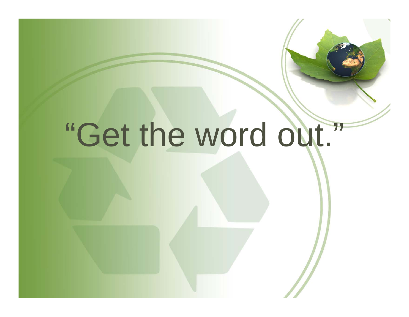# "Get the word out."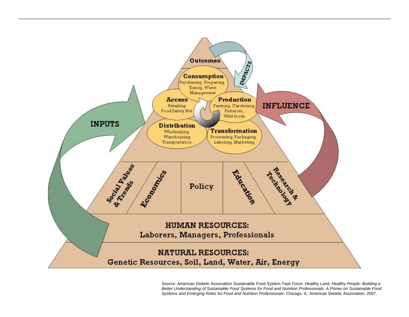

Source: American Dietetic Association Sustainable Food System Task Force. *Healthy Land, Healthy People: Building a Better Understanding of Sustainable Food Systems for Food and Nutrition Professionals. A Primer on Sustainable Food Systems and Emerging Roles for Food and Nutrition Professionals*. Chicago, IL: American Dietetic Association; 2007.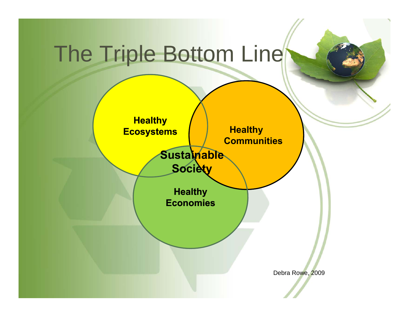# The Triple Bottom Line

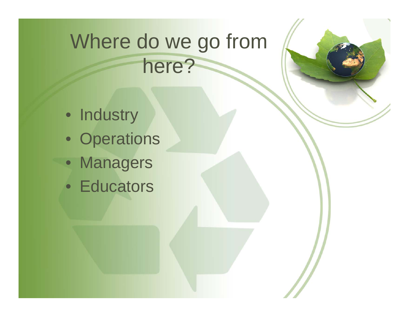## Where do we go from here?

- Industry
- Operations
- Managers
- Educators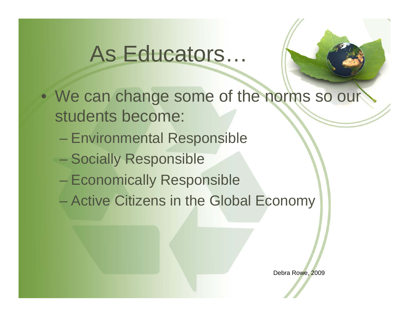## As Educators…



- We can change some of the norms so our students become:
	- $\mathcal{L}_{\mathcal{A}}$ Environmental Responsible
	- Socially Responsible
	- Economically Responsible
	- Active Citizens in the Global Economy

Debra Rowe, 2009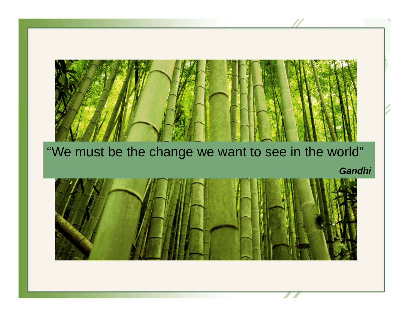#### "We must be the change we want to see in the world"

*Gandhi*